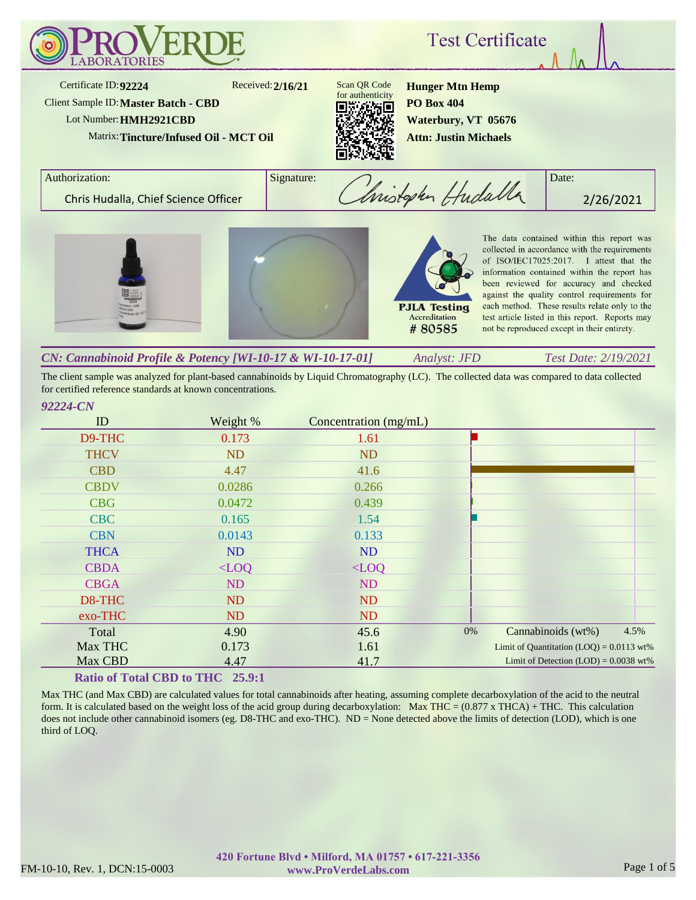

The client sample was analyzed for plant-based cannabinoids by Liquid Chromatography (LC). The collected data was compared to data collected for certified reference standards at known concentrations.

# *92224-CN*

| ID          | Weight %  | Concentration (mg/mL) |    |                                            |      |
|-------------|-----------|-----------------------|----|--------------------------------------------|------|
| D9-THC      | 0.173     | 1.61                  |    |                                            |      |
| <b>THCV</b> | <b>ND</b> | ND                    |    |                                            |      |
| <b>CBD</b>  | 4.47      | 41.6                  |    |                                            |      |
| <b>CBDV</b> | 0.0286    | 0.266                 |    |                                            |      |
| <b>CBG</b>  | 0.0472    | 0.439                 |    |                                            |      |
| <b>CBC</b>  | 0.165     | 1.54                  |    |                                            |      |
| <b>CBN</b>  | 0.0143    | 0.133                 |    |                                            |      |
| <b>THCA</b> | <b>ND</b> | ND                    |    |                                            |      |
| <b>CBDA</b> | $<$ LOO   | $\langle$ LOQ         |    |                                            |      |
| <b>CBGA</b> | ND        | ND                    |    |                                            |      |
| D8-THC      | <b>ND</b> | <b>ND</b>             |    |                                            |      |
| exo-THC     | ND        | ND                    |    |                                            |      |
| Total       | 4.90      | 45.6                  | 0% | Cannabinoids (wt%)                         | 4.5% |
| Max THC     | 0.173     | 1.61                  |    | Limit of Quantitation $(LOQ) = 0.0113$ wt% |      |
| Max CBD     | 4.47      | 41.7                  |    | Limit of Detection $(LOD) = 0.0038$ wt%    |      |

### **Ratio of Total CBD to THC 25.9:1**

Max THC (and Max CBD) are calculated values for total cannabinoids after heating, assuming complete decarboxylation of the acid to the neutral form. It is calculated based on the weight loss of the acid group during decarboxylation: Max THC =  $(0.877 \times THCA) + THC$ . This calculation does not include other cannabinoid isomers (eg. D8-THC and exo-THC). ND = None detected above the limits of detection (LOD), which is one third of LOQ.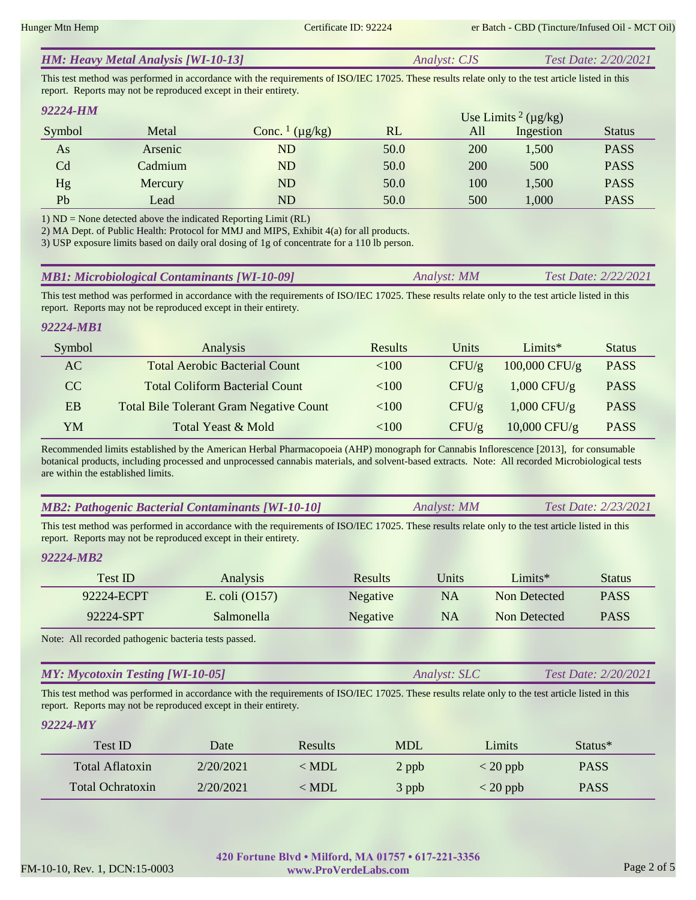|  | <b>HM: Heavy Metal Analysis [WI-10-13]</b> | <i>Analyst: CJS</i> | <b>Test Date: 2/20/2021</b> |
|--|--------------------------------------------|---------------------|-----------------------------|
|--|--------------------------------------------|---------------------|-----------------------------|

This test method was performed in accordance with the requirements of ISO/IEC 17025. These results relate only to the test article listed in this report. Reports may not be reproduced except in their entirety.

| 92224-HM       |         |                                     |      |     | Use Limits <sup>2</sup> ( $\mu$ g/kg) |               |
|----------------|---------|-------------------------------------|------|-----|---------------------------------------|---------------|
| Symbol         | Metal   | Conc. $\frac{1}{\mu}$ ( $\mu$ g/kg) | RL   | All | Ingestion                             | <b>Status</b> |
| As             | Arsenic | ND                                  | 50.0 | 200 | 1,500                                 | <b>PASS</b>   |
| C <sub>d</sub> | Cadmium | ND                                  | 50.0 | 200 | 500                                   | <b>PASS</b>   |
| Hg             | Mercury | ND                                  | 50.0 | 100 | 1,500                                 | <b>PASS</b>   |
| Pb             | Lead    | ND                                  | 50.0 | 500 | 1,000                                 | <b>PASS</b>   |

1) ND = None detected above the indicated Reporting Limit (RL)

2) MA Dept. of Public Health: Protocol for MMJ and MIPS, Exhibit 4(a) for all products.

3) USP exposure limits based on daily oral dosing of 1g of concentrate for a 110 lb person.

| <b>MB1: Microbiological Contaminants [WI-10-09]</b> | Analyst: MM | <b>Test Date: 2/22/2021</b> |
|-----------------------------------------------------|-------------|-----------------------------|
|-----------------------------------------------------|-------------|-----------------------------|

This test method was performed in accordance with the requirements of ISO/IEC 17025. These results relate only to the test article listed in this report. Reports may not be reproduced except in their entirety.

### *92224-MB1*

| Symbol | Analysis                                       | <b>Results</b> | Units    | Limit           | <b>Status</b> |
|--------|------------------------------------------------|----------------|----------|-----------------|---------------|
| AC     | <b>Total Aerobic Bacterial Count</b>           | <100           | $CFU/\g$ | $100,000$ CFU/g | <b>PASS</b>   |
| CC.    | <b>Total Coliform Bacterial Count</b>          | <100           | CFU/g    | $1,000$ CFU/g   | <b>PASS</b>   |
| EB     | <b>Total Bile Tolerant Gram Negative Count</b> | <100           | $CFU/\g$ | $1,000$ CFU/g   | <b>PASS</b>   |
| YM     | Total Yeast & Mold                             | <100           | CFU/g    | $10,000$ CFU/g  | <b>PASS</b>   |

Recommended limits established by the American Herbal Pharmacopoeia (AHP) monograph for Cannabis Inflorescence [2013], for consumable botanical products, including processed and unprocessed cannabis materials, and solvent-based extracts. Note: All recorded Microbiological tests are within the established limits.

|  | <b>MB2: Pathogenic Bacterial Contaminants [WI-10-10]</b> | Analyst: MM | Test Date: 2/23/2021 |
|--|----------------------------------------------------------|-------------|----------------------|
|--|----------------------------------------------------------|-------------|----------------------|

This test method was performed in accordance with the requirements of ISO/IEC 17025. These results relate only to the test article listed in this report. Reports may not be reproduced except in their entirety.

#### *92224-MB2*

| Test ID    | <b>Analysis</b>  | <b>Results</b> | Units     | $Limits*$    | <b>Status</b> |
|------------|------------------|----------------|-----------|--------------|---------------|
| 92224-ECPT | E. coli $(0157)$ | Negative       | NA.       | Non Detected | <b>PASS</b>   |
| 92224-SPT  | Salmonella       | Negative       | <b>NA</b> | Non Detected | <b>PASS</b>   |

Note: All recorded pathogenic bacteria tests passed.

| <b>MY: Mycotoxin Testing [WI-10-05]</b> | Analyst: SLC | <i>Test Date: 2/20/2021</i> |
|-----------------------------------------|--------------|-----------------------------|
|                                         |              |                             |

This test method was performed in accordance with the requirements of ISO/IEC 17025. These results relate only to the test article listed in this report. Reports may not be reproduced except in their entirety.

#### *92224-MY*

| Test ID          | Date      | <b>Results</b> | <b>MDL</b> | Limits                           | $Status*$   |  |
|------------------|-----------|----------------|------------|----------------------------------|-------------|--|
| Total Aflatoxin  | 2/20/2021 | < MDL          | 2 ppb      | $\langle 20 \text{ ppb} \rangle$ | <b>PASS</b> |  |
| Total Ochratoxin | 2/20/2021 | $<$ MDL        | 3 ppb      | $\langle 20 \text{ ppb} \rangle$ | <b>PASS</b> |  |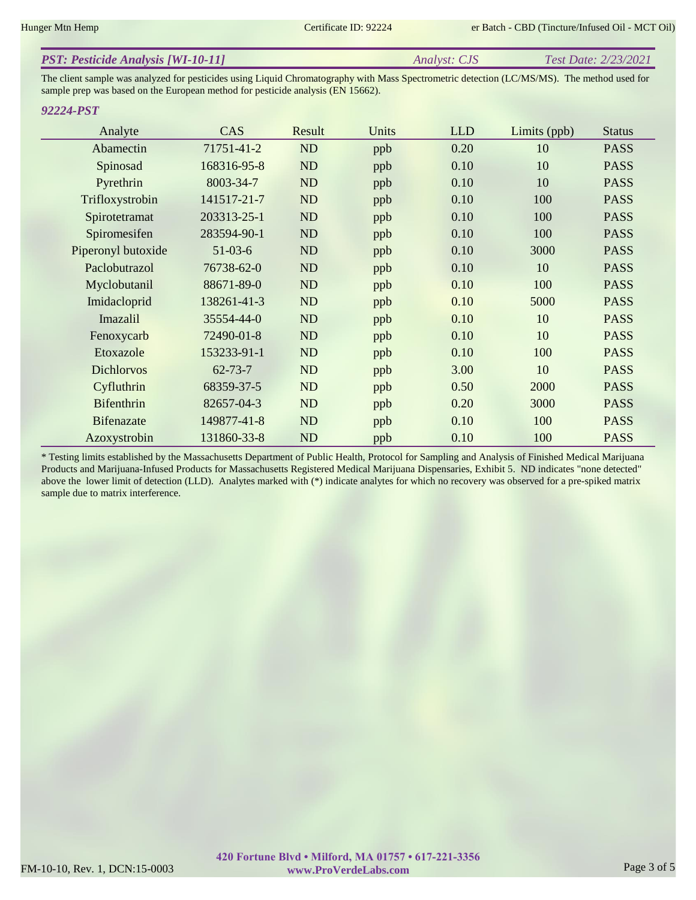| <b>PST: Pesticide Analysis [WI-10-11]</b> | <i>Analyst: CJS</i> | Test Date: 2/23/2021 |
|-------------------------------------------|---------------------|----------------------|
|                                           |                     |                      |

The client sample was analyzed for pesticides using Liquid Chromatography with Mass Spectrometric detection (LC/MS/MS). The method used for sample prep was based on the European method for pesticide analysis (EN 15662).

#### *92224-PST*

| Analyte            | <b>CAS</b>    | Result    | Units | <b>LLD</b> | Limits (ppb) | <b>Status</b> |
|--------------------|---------------|-----------|-------|------------|--------------|---------------|
| Abamectin          | 71751-41-2    | ND        | ppb   | 0.20       | 10           | <b>PASS</b>   |
| Spinosad           | 168316-95-8   | ND        | ppb   | 0.10       | 10           | <b>PASS</b>   |
| Pyrethrin          | 8003-34-7     | ND        | ppb   | 0.10       | 10           | <b>PASS</b>   |
| Trifloxystrobin    | 141517-21-7   | ND        | ppb   | 0.10       | 100          | <b>PASS</b>   |
| Spirotetramat      | 203313-25-1   | ND        | ppb   | 0.10       | 100          | <b>PASS</b>   |
| Spiromesifen       | 283594-90-1   | ND        | ppb   | 0.10       | 100          | <b>PASS</b>   |
| Piperonyl butoxide | $51-03-6$     | ND        | ppb   | 0.10       | 3000         | <b>PASS</b>   |
| Paclobutrazol      | 76738-62-0    | ND        | ppb   | 0.10       | 10           | <b>PASS</b>   |
| Myclobutanil       | 88671-89-0    | ND        | ppb   | 0.10       | 100          | <b>PASS</b>   |
| Imidacloprid       | 138261-41-3   | ND        | ppb   | 0.10       | 5000         | <b>PASS</b>   |
| Imazalil           | 35554-44-0    | ND        | ppb   | 0.10       | 10           | <b>PASS</b>   |
| Fenoxycarb         | 72490-01-8    | ND        | ppb   | 0.10       | 10           | <b>PASS</b>   |
| Etoxazole          | 153233-91-1   | ND        | ppb   | 0.10       | 100          | <b>PASS</b>   |
| <b>Dichlorvos</b>  | $62 - 73 - 7$ | ND        | ppb   | 3.00       | 10           | <b>PASS</b>   |
| Cyfluthrin         | 68359-37-5    | ND        | ppb   | 0.50       | 2000         | <b>PASS</b>   |
| <b>Bifenthrin</b>  | 82657-04-3    | ND        | ppb   | 0.20       | 3000         | <b>PASS</b>   |
| <b>Bifenazate</b>  | 149877-41-8   | <b>ND</b> | ppb   | 0.10       | 100          | <b>PASS</b>   |
| Azoxystrobin       | 131860-33-8   | ND        | ppb   | 0.10       | 100          | <b>PASS</b>   |

\* Testing limits established by the Massachusetts Department of Public Health, Protocol for Sampling and Analysis of Finished Medical Marijuana Products and Marijuana-Infused Products for Massachusetts Registered Medical Marijuana Dispensaries, Exhibit 5. ND indicates "none detected" above the lower limit of detection (LLD). Analytes marked with (\*) indicate analytes for which no recovery was observed for a pre-spiked matrix sample due to matrix interference.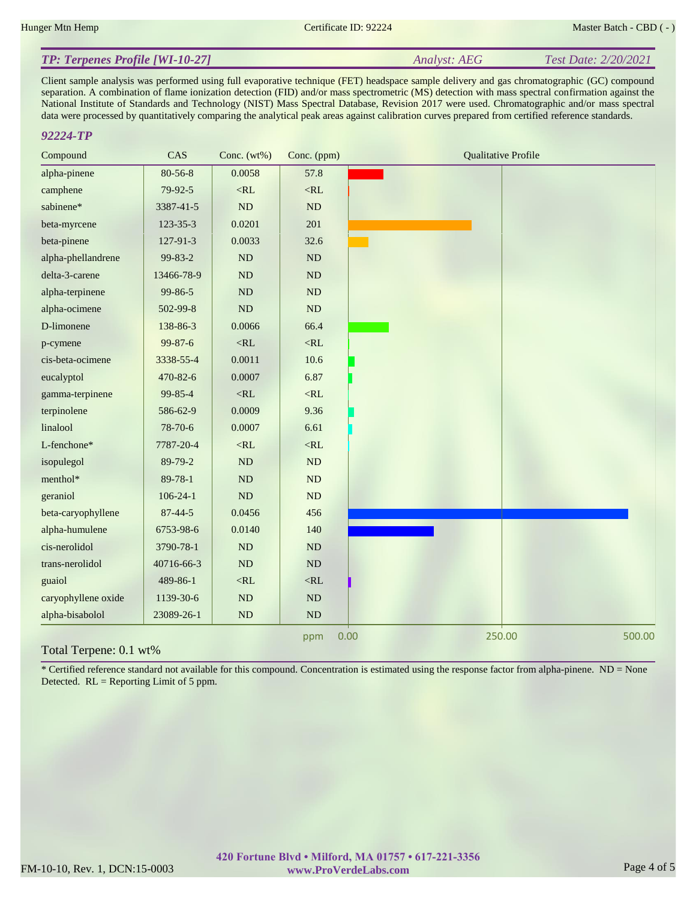#### *Analyst: AEG Test Date: 2/20/2021 TP: Terpenes Profile [WI-10-27]*

Client sample analysis was performed using full evaporative technique (FET) headspace sample delivery and gas chromatographic (GC) compound separation. A combination of flame ionization detection (FID) and/or mass spectrometric (MS) detection with mass spectral confirmation against the National Institute of Standards and Technology (NIST) Mass Spectral Database, Revision 2017 were used. Chromatographic and/or mass spectral data were processed by quantitatively comparing the analytical peak areas against calibration curves prepared from certified reference standards.

#### *92224-TP*

| Compound            | CAS            | Conc. $(wt\%)$ | Conc. (ppm) | <b>Qualitative Profile</b> |
|---------------------|----------------|----------------|-------------|----------------------------|
| alpha-pinene        | 80-56-8        | 0.0058         | 57.8        |                            |
| camphene            | 79-92-5        | $<\!\!RL$      | $<\!\!RL$   |                            |
| sabinene*           | 3387-41-5      | ND             | ND          |                            |
| beta-myrcene        | 123-35-3       | 0.0201         | 201         |                            |
| beta-pinene         | 127-91-3       | 0.0033         | 32.6        |                            |
| alpha-phellandrene  | 99-83-2        | ND             | $\rm ND$    |                            |
| delta-3-carene      | 13466-78-9     | ND             | $\rm ND$    |                            |
| alpha-terpinene     | 99-86-5        | $\rm ND$       | ND          |                            |
| alpha-ocimene       | 502-99-8       | $\rm ND$       | $\rm ND$    |                            |
| D-limonene          | 138-86-3       | 0.0066         | 66.4        |                            |
| p-cymene            | 99-87-6        | $<\!\!RL$      | $<\!\!RL$   |                            |
| cis-beta-ocimene    | 3338-55-4      | 0.0011         | 10.6        |                            |
| eucalyptol          | 470-82-6       | 0.0007         | 6.87        |                            |
| gamma-terpinene     | 99-85-4        | $<\!\!RL$      | $<\!\!RL$   |                            |
| terpinolene         | 586-62-9       | 0.0009         | 9.36        |                            |
| linalool            | 78-70-6        | 0.0007         | 6.61        |                            |
| L-fenchone*         | 7787-20-4      | $<$ RL         | $<\!\!RL$   |                            |
| isopulegol          | 89-79-2        | ND             | ND          |                            |
| menthol*            | 89-78-1        | ND             | ND          |                            |
| geraniol            | $106 - 24 - 1$ | ND             | ND          |                            |
| beta-caryophyllene  | $87 - 44 - 5$  | 0.0456         | 456         |                            |
| alpha-humulene      | 6753-98-6      | 0.0140         | 140         |                            |
| cis-nerolidol       | 3790-78-1      | $\rm ND$       | ND          |                            |
| trans-nerolidol     | 40716-66-3     | $\rm ND$       | $\rm ND$    |                            |
| guaiol              | 489-86-1       | $<\!\!RL$      | $<\!\!RL$   |                            |
| caryophyllene oxide | 1139-30-6      | $\mathbf{ND}$  | ND          |                            |
| alpha-bisabolol     | 23089-26-1     | ND             | $\rm ND$    |                            |
|                     |                |                | ppm         | 250.00<br>500.00<br>0.00   |

#### Total Terpene: 0.1 wt%

\* Certified reference standard not available for this compound. Concentration is estimated using the response factor from alpha-pinene. ND = None Detected. RL = Reporting Limit of 5 ppm.